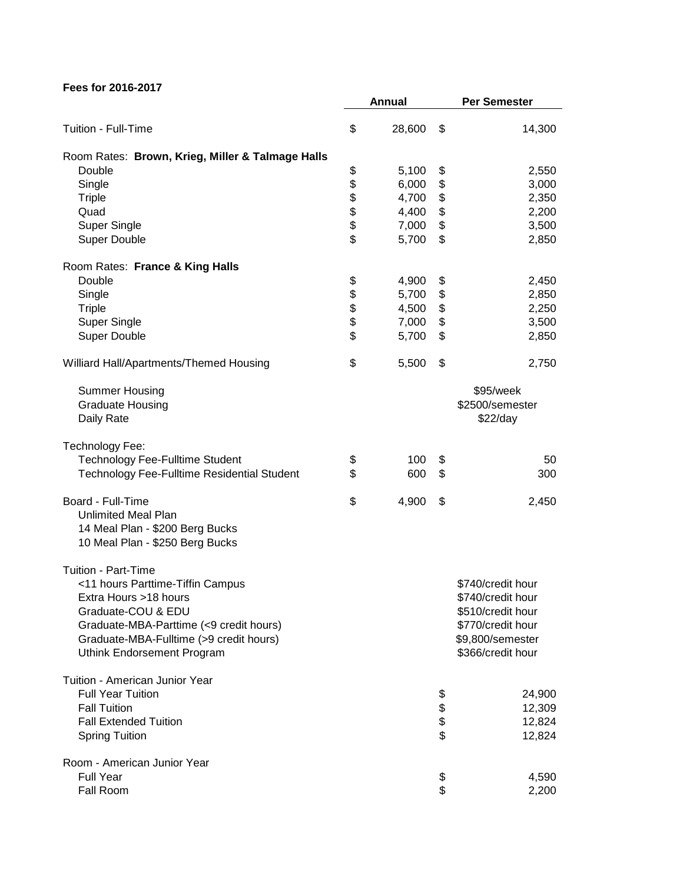|                                                           |            | Annual | <b>Per Semester</b> |
|-----------------------------------------------------------|------------|--------|---------------------|
| Tuition - Full-Time                                       | \$         | 28,600 | \$<br>14,300        |
| Room Rates: Brown, Krieg, Miller & Talmage Halls          |            |        |                     |
| Double                                                    | \$         | 5,100  | \$<br>2,550         |
| Single                                                    |            | 6,000  | \$<br>3,000         |
| <b>Triple</b>                                             |            | 4,700  | \$<br>2,350         |
| Quad                                                      |            | 4,400  | \$<br>2,200         |
| <b>Super Single</b>                                       |            | 7,000  | \$<br>3,500         |
| <b>Super Double</b>                                       | \$\$\$\$\$ | 5,700  | \$<br>2,850         |
|                                                           |            |        |                     |
| Room Rates: France & King Halls                           |            |        |                     |
| Double                                                    |            | 4,900  | \$<br>2,450         |
| Single                                                    |            | 5,700  | \$<br>2,850         |
| <b>Triple</b>                                             |            | 4,500  | \$<br>2,250         |
| <b>Super Single</b>                                       | \$\$\$\$\$ | 7,000  | \$<br>3,500         |
| <b>Super Double</b>                                       |            | 5,700  | \$<br>2,850         |
| Williard Hall/Apartments/Themed Housing                   | \$         | 5,500  | \$<br>2,750         |
| <b>Summer Housing</b>                                     |            |        | \$95/week           |
| <b>Graduate Housing</b>                                   |            |        | \$2500/semester     |
| Daily Rate                                                |            |        | \$22/day            |
|                                                           |            |        |                     |
| Technology Fee:<br><b>Technology Fee-Fulltime Student</b> |            | 100    | 50                  |
|                                                           | \$<br>\$   |        | \$                  |
| Technology Fee-Fulltime Residential Student               |            | 600    | \$<br>300           |
| Board - Full-Time                                         | \$         | 4,900  | \$<br>2,450         |
| <b>Unlimited Meal Plan</b>                                |            |        |                     |
| 14 Meal Plan - \$200 Berg Bucks                           |            |        |                     |
| 10 Meal Plan - \$250 Berg Bucks                           |            |        |                     |
| <b>Tuition - Part-Time</b>                                |            |        |                     |
| <11 hours Parttime-Tiffin Campus                          |            |        | \$740/credit hour   |
| Extra Hours >18 hours                                     |            |        | \$740/credit hour   |
| Graduate-COU & EDU                                        |            |        | \$510/credit hour   |
| Graduate-MBA-Parttime (<9 credit hours)                   |            |        | \$770/credit hour   |
| Graduate-MBA-Fulltime (>9 credit hours)                   |            |        | \$9,800/semester    |
| Uthink Endorsement Program                                |            |        | \$366/credit hour   |
|                                                           |            |        |                     |
| Tuition - American Junior Year                            |            |        |                     |
| <b>Full Year Tuition</b>                                  |            |        | \$<br>24,900        |
| <b>Fall Tuition</b>                                       |            |        | \$<br>12,309        |
| <b>Fall Extended Tuition</b>                              |            |        | \$<br>12,824        |
| <b>Spring Tuition</b>                                     |            |        | \$<br>12,824        |
| Room - American Junior Year                               |            |        |                     |
| <b>Full Year</b>                                          |            |        | \$<br>4,590         |
| Fall Room                                                 |            |        | \$<br>2,200         |
|                                                           |            |        |                     |

**Fees for 2016-2017**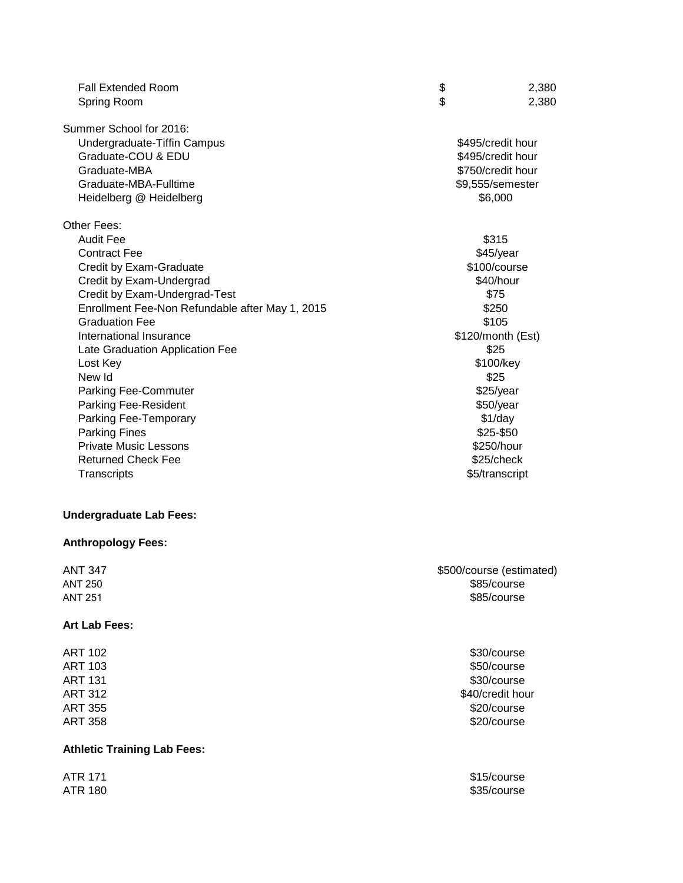| <b>Fall Extended Room</b>                       | \$<br>2,380       |
|-------------------------------------------------|-------------------|
| Spring Room                                     | \$<br>2,380       |
| Summer School for 2016:                         |                   |
| Undergraduate-Tiffin Campus                     | \$495/credit hour |
| Graduate-COU & EDU                              | \$495/credit hour |
| Graduate-MBA                                    | \$750/credit hour |
| Graduate-MBA-Fulltime                           | \$9,555/semester  |
| Heidelberg @ Heidelberg                         | \$6,000           |
| Other Fees:                                     |                   |
| <b>Audit Fee</b>                                | \$315             |
| <b>Contract Fee</b>                             | $$45$ /year       |
| Credit by Exam-Graduate                         | \$100/course      |
| Credit by Exam-Undergrad                        | \$40/hour         |
| Credit by Exam-Undergrad-Test                   | \$75              |
| Enrollment Fee-Non Refundable after May 1, 2015 | \$250             |
| <b>Graduation Fee</b>                           | \$105             |
| International Insurance                         | \$120/month (Est) |
| Late Graduation Application Fee                 | \$25              |
| Lost Key                                        | \$100/key         |
| New Id                                          | \$25              |
| <b>Parking Fee-Commuter</b>                     | \$25/year         |
| Parking Fee-Resident                            | \$50/year         |
| Parking Fee-Temporary                           | $$1$ /day         |
| <b>Parking Fines</b>                            | \$25-\$50         |
| <b>Private Music Lessons</b>                    | \$250/hour        |
| <b>Returned Check Fee</b>                       | \$25/check        |
| Transcripts                                     | \$5/transcript    |

# **Undergraduate Lab Fees:**

### **Anthropology Fees:**

| ANT 347 | \$500/course (estimated) |
|---------|--------------------------|
| ANT 250 | \$85/course              |
| ANT 251 | \$85/course              |

### **Art Lab Fees:**

| ART 102 |  |
|---------|--|
| ART 103 |  |
| ART 131 |  |
| ART 312 |  |
| ART 355 |  |
| ART 358 |  |

# **Athletic Training Lab Fees:**

\$30/course \$50/course \$30/course \$40/credit hour \$20/course \$20/course

ATR 171 \$15/course ATR 180 \$35/course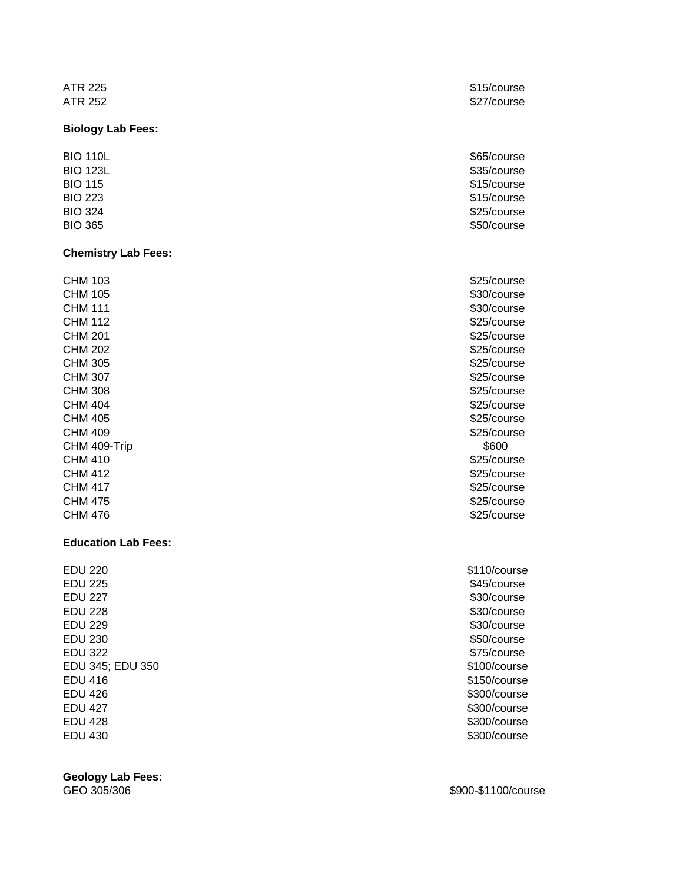#### **Biology Lab Fees:**

#### **Chemistry Lab Fees:**

CHM 103 **\$25/course**  $CHM$  105  $$30/c$ ourse CHM 111 **330/course** CHM 112 **\$25/course**  $CHM$  201  $$25/course$ CHM 202 \$25/course CHM 305 **\$25/course** CHM 307 **S25/course CHM** 307 CHM 308 **\$25/course** CHM 404 \$25/course CHM 405 **\$25/course** CHM 409 **\$25/course** CHM 409-Trip \$600 CHM 410 **\$25/course** CHM 412 **\$25/course** CHM 417 **\$25/course** CHM 475 **\$25/course** CHM 476 \$25/course

### **Education Lab Fees:**

EDU 220 \$110/course EDU 225 \$45/course EDU 227 \$30/course EDU 228 \$30/course EDU 229 \$30/course EDU 230 \$50/course EDU 322 \$75/course EDU 345; EDU 350 \$100/course \$100/course \$100/course \$100/course \$100 EDU 416 \$150/course EDU 426 \$300/course EDU 427 \$300/course EDU 428 \$300/course EDU 430 \$300/course

**Geology Lab Fees:**

ATR 225 \$15/course ATR 252 \$27/course

BIO 110L \$65/course BIO 123L \$35/course \$35/course \$35/course \$35/course \$35/course \$35/course \$35/course \$35/course \$35/course \$35/ BIO 115 \$15/course BIO 223 \$15/course BIO 324 \$25/course BIO 365 \$50/course \$50.000 \$50.000 \$50.000 \$50.000 \$50.000 \$50.000 \$50.000 \$50.000 \$50.000 \$50.000 \$

GEO 305/306 \$900-\$1100/course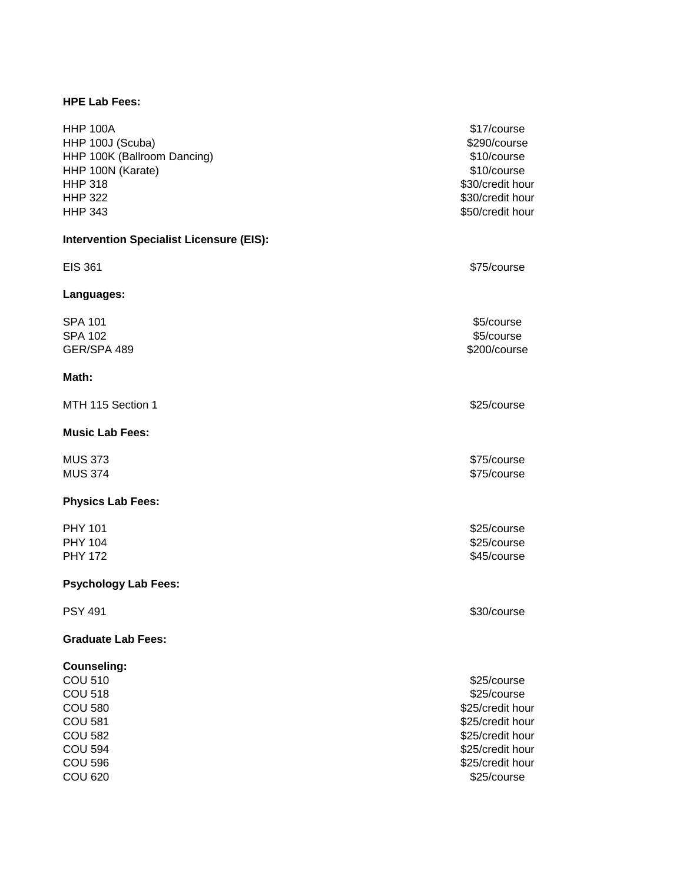### **HPE Lab Fees:**

HHP 100A \$17/course HHP 100J (Scuba) 6290/course to the state of the state of the state of the state of the state of the state of the state of the state of the state of the state of the state of the state of the state of the state of the stat HHP 100K (Ballroom Dancing) **\$10/course** \$10/course HHP 100N (Karate) **\$10/course** \$10/course HHP 318 **\$30/credit hour** HHP 322 **\$30/credit hour** HHP 343 **\$50/credit hour** 

#### **Intervention Specialist Licensure (EIS):**

EIS 361 \$75/course **Languages:**  $\textsf{SPA 101} \quad \text{\textcolor{red}{\textbf{S}}5/course}$  $\textsf{SPA 102} \quad \text{\textcolor{red}{\textbf{S}}}$ GER/SPA 489 \$200/course

#### **Math:**

MTH 115 Section 1 \$25/course

#### **Music Lab Fees:**

#### **Physics Lab Fees:**

PHY 101 \$25/course

#### **Psychology Lab Fees:**

#### **Graduate Lab Fees:**

#### **Counseling:**

MUS 373 \$75/course \$250 \$75.00 \$1.50 \$75.00 \$75.00 \$75.00 \$75.00 \$75.00 \$7.00 \$7.00 \$7.00 \$7.00 \$7.00 \$7.00 \$7 MUS 374 \$75/course

PHY 104 \$25/course PHY 172 **SASSES CONSUMING THE SET OF SASSES** 

PSY 491 \$30/course

COU 510 **\$25/course** to the set of the set of the set of the set of the set of the set of the set of the set of the set of the set of the set of the set of the set of the set of the set of the set of the set of the set of COU 518 **\$25/course** COU 580 **\$25/credit hour** COU 581 **\$25/credit hour** COU 582 **\$25/credit hour** COU 594 **\$25/credit hour** COU 596 **\$25/credit hour** COU 620 \$25/course that the set of the set of the set of the set of the set of the set of the set of the set of the set of the set of the set of the set of the set of the set of the set of the set of the set of the set of